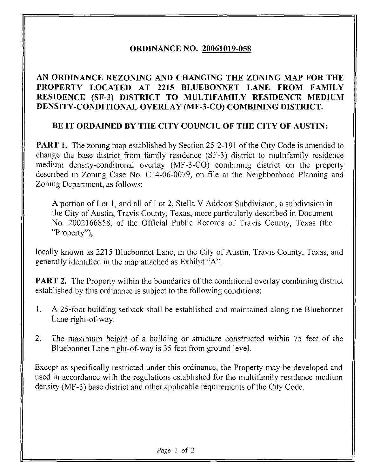## ORDINANCE NO. 20061019-058

## AN ORDINANCE REZONING AND CHANGING THE ZONING MAP FOR THE PROPERTY LOCATED AT 2215 BLUEBONNET LANE FROM FAMILY RESIDENCE (SF-3) DISTRICT TO MULTIFAMILY RESIDENCE MEDIUM DENSITY-CONDITIONAL OVERLAY (MF-3-CO) COMBINING DISTRICT.

## BE IT ORDAINED BY THE CITY COUNCIL OF THE CITY OF AUSTIN:

**PART 1.** The zoning map established by Section 25-2-191 of the City Code is amended to change the base district from family residence (SF-3) district to multifamily residence medium density-conditional overlay (MF-3-CO) combining district on the property described in Zoning Case No. C14-06-0079, on file at the Neighborhood Planning and Zoning Department, as follows:

A portion of Lot 1, and all of Lot 2, Stella V Addcox Subdivision, a subdivision in the City of Austin, Travis County, Texas, more particularly described in Document No. 2002166858, of the Official Public Records of Travis County, Texas (the "Property"),

locally known as 2215 Bluebonnet Lane, in the City of Austin, Travis County, Texas, and generally identified in the map attached as Exhibit "A".

**PART 2.** The Property within the boundaries of the conditional overlay combining district established by this ordinance is subject to the following conditions:

- 1. A 25-foot building setback shall be established and maintained along the Bluebonnet Lane right-of-way.
- 2. The maximum height of a building or structure constructed within 75 feet of the Bluebonnet Lane right-of-way is 35 feet from ground level.

Except as specifically restricted under this ordinance, the Property may be developed and used in accordance with the regulations established for the multifamily residence medium density (MF-3) base district and other applicable requirements of the City Code.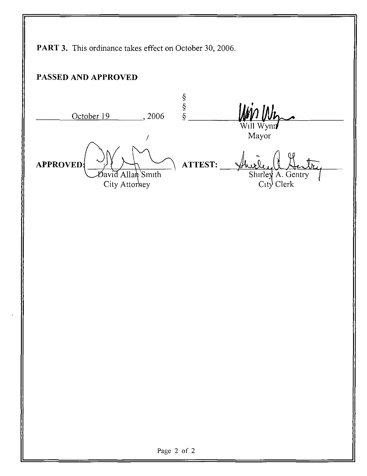PART 3. This ordinance takes effect on October 30, 2006.

## PASSED AND APPROVED

 $\frac{\text{8}}{\text{9}}$ <br>  $\frac{\text{October 19}}{\text{9}}$ , 2006  $\frac{\text{8}}{\text{9}}$ APPROVED  $\cancel{B}$ avid Allan Smith City Attorney ATTEST: Will Wyni Mayor Shirley A. Gentry City Clerk